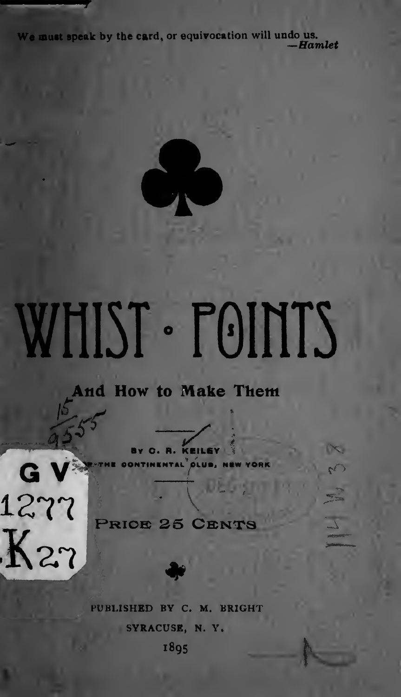We must speak by the card, or equivocation will undo us. Hamlet

# WHIST - POINTS

### **And How to Make Them**

PRIOR 25 CEI

G' 1277

 $K<sub>27</sub>$ 

PUBLISHED BY C. M. BRIGHT SYRACUSE, N. Y. **1895**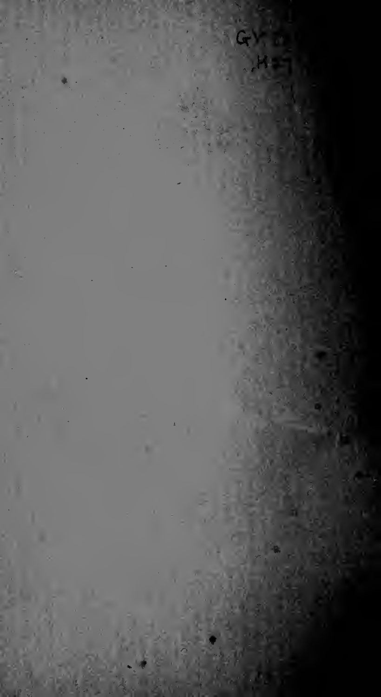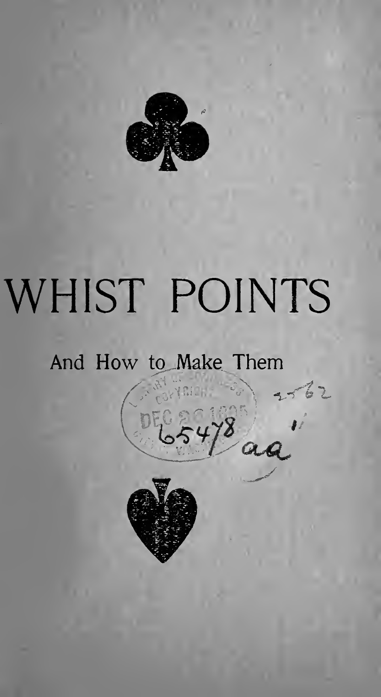

# WHIST POINTS

## And How to Make Them

 $\frac{1}{2}$ 

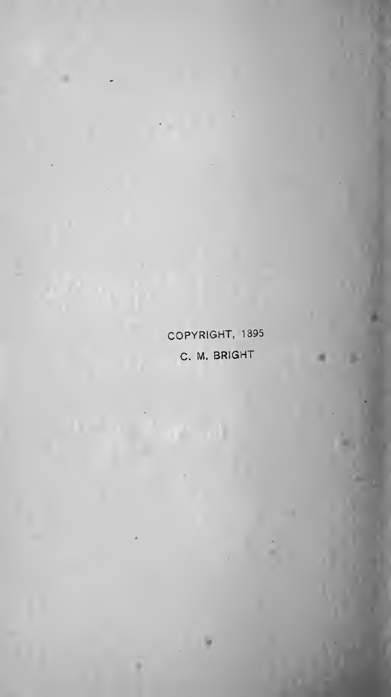COPYRIGHT, 1895 C. M. BRIGHT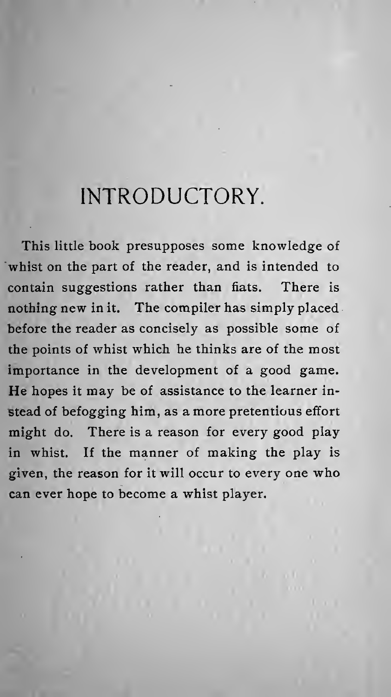### INTRODUCTORY.

This little book presupposes some knowledge of whist on the part of the reader, and is intended to contain suggestions rather than fiats. There isnothing new in it. The compiler has simply placed before the reader as concisely as possible some of the points of whist which he thinks are of the most importance in the development of a good game. He hopes it may be of assistance to the learner in stead of befogging him, as a more pretentious effort might do. There is a reason for every good play in whist. If the manner of making the play is given, the reason for it will occur to every one who can ever hope to become a whist player.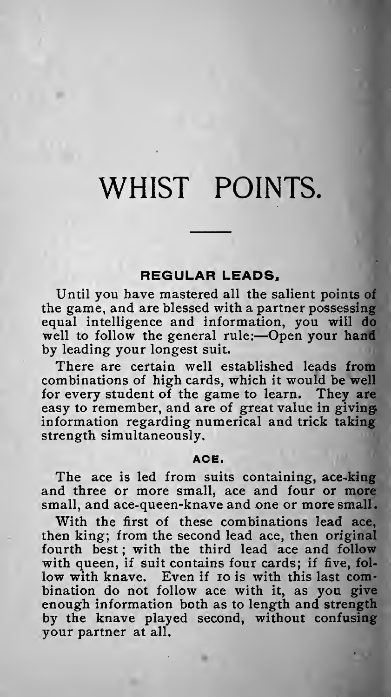# WHIST POINTS.

#### REGULAR LEADS.

Until you have mastered all the salient points of the game, and are blessed with a partner possessing equal intelligence and information, you will do well to follow the general rule:—Open your hand by leading your longest suit.

There are certain well established leads from combinations of high cards, which it would be well for every student of the game to learn. They are easy to remember, and are of great value in giving information regarding numerical and trick taking strength simultaneously,

#### ACE.

The ace is led from suits containing, ace-king and three or more small, ace and four or more small, and ace-queen-knave and one or more small.

With the first of these combinations lead ace, then king; from the second lead ace, then original fourth best : with the third lead ace and follow with queen, if suit contains four cards; if five, follow with knave. Even if to is with this last combination do not follow ace with it, as you give enough information both as to length and strength by the knave played second, without confusing your partner at all.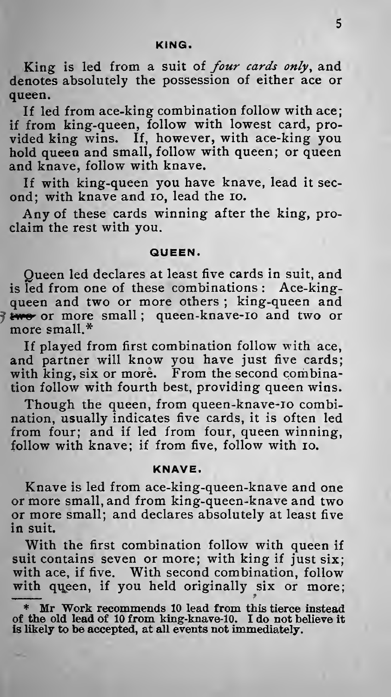King is led from a suit of four cards only, and denotes absolutely the possession of either ace or queen.

If led from ace-king combination follow with ace; if from king-queen, follow with lowest card, pro vided king wins. If, however, with ace-king you hold queen and small, follow with queen; or queen and knave, follow with knave.

If with king-queen you have knave, lead it second: with knave and 10, lead the 10.

Any of these cards winning after the king, pro claim the rest with you.

#### QUEEN.

Queen led declares at least five cards in suit, and is led from one of these combinations : Ace-king queen and two or more others ; king-queen and **Example 3** and two or more small ; queen-knave-io and two or more small \*

If played from first combination follow with ace, and partner will know you have just five cards;<br>with king, six or more. From the second combina-<br>tion follow with fourth best, providing queen wins.

Though the queen, from queen-knave-io combination, usually indicates five cards, it is often led from four; and if led from four, queen winning. follow with knave: if from five, follow with 10.

#### KNAVE.

Knave is led from ace-king-queen-knave and one or more small, and from king-queen-knave and two or more small; and declares absolutely at least five in suit.

With the first combination follow with queen if suit contains seven or more; with king if just six; with ace, if five. With second combination, follow with queen, if you held originally six or more;

<sup>\*</sup> Mr Work recommends 10 lead from this tierce instead of the old lead of 10 from king-knave-lO. <sup>I</sup> do not believe it is likely to be accepted, at all events not immediately.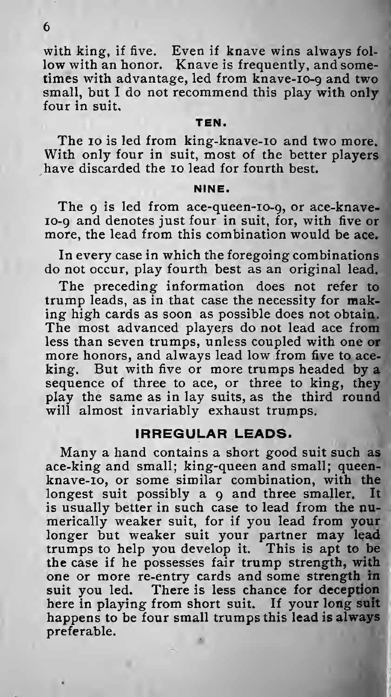with king, if five. Even if knave wins always follow with an honor. Knave is frequently, and sometimes with advantage, led from knave-10-9 and two small, but <sup>I</sup> do not recommend this play with only four in suit.

#### TEN.

The 10 is led from king-knave-io and two more. With only four in suit, most of the better players have discarded the 10 lead for fourth best.

#### NINE.

The 9 is led from ace-queen-10-9, or ace-knave-10-9 and denotes just four in suit, for, with five or more, the lead from this combination would be ace.

In every case in which the foregoing combinations do not occur, play fourth best as an original lead.

The preceding information does not refer to trump leads, as in that case the necessity for making high cards as soon as possible does not obtain. The most advanced players do not lead ace from less than seven trumps, unless coupled with one or more honors, and always lead low from five to ace king. But with five or more trumps headed by a sequence of three to ace, or three to king, they play the same as in lay suits, as the third round will almost invariably exhaust trumps.

#### IRREGULAR LEADS.

Many a hand contains a short good suit such as ace-king and small; king-queen and small; queenknave-io, or some similar combination, with the longest suit possibly a 9 and three smaller. It is usually better in such case to lead from the numerically weaker suit, for if you lead from your longer but weaker suit your partner may lead trumps to help you develop it. This isapt to be the case if he possesses fair trump strength, with one or more re-entry cards and some strength in<br>suit you led. There is less chance for deception There is less chance for deception here in playing from short suit. If your long suit happens to be four small trumps this lead is always preferable.<br>John Stein (1986)<br>John Stein (1986)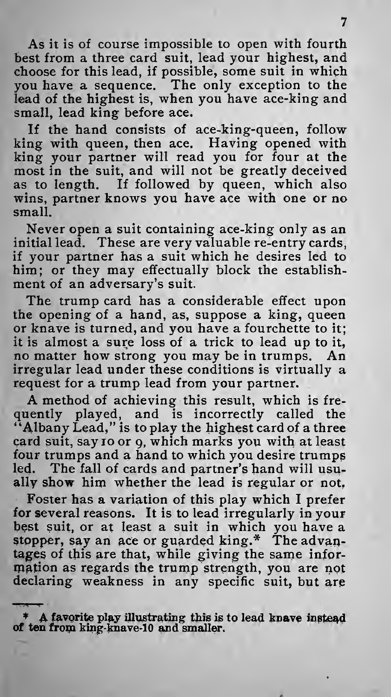As it is of course impossible to open with fourth best from a three card suit, lead your highest, and choose for this lead, if possible, some suit in which you have a sequence. The only exception to the lead of the highest is, when you have ace-king and small, lead king before ace.

If the hand consists of ace-king-queen, follow king with queen, then ace. Having opened with king your partner will read you for four at the most in the suit, and will not be greatly deceived as to length. If followed by queen, which also wins, partner knows you have ace with one or no small.

Never open a suit containing ace-king only as an initial lead. These are very valuable re-entry cards, if your partner has a suit which he desires led to him; or they may effectually block the establish ment of an adversary's suit.

The trump card has a considerable effect upon the opening of a hand, as, suppose a king, queen or knave is turned, and you have a fourchette to it; it is almost a sure loss of a trick to lead up to it, no matter how strong you may be in trumps. An irregular lead under these conditions is virtually a request for a trump lead from your partner.

A method of achieving this result, which is fre quently played, and is incorrectly called the Albany Lead," is to play the highest card of a three card suit, say lo or 9, which marks you with at least four trumps and a hand towhich you desire trumps led. The fall of cards and partner's hand will usually show him whether the lead is regular or not,

Foster has a variation of this play which <sup>I</sup> prefer for several reasons. It is to lead irregularly in your best suit, or at least a suit in which you have a stopper, say an ace or guarded king.\* The advantages of this are that, while giving the same infor mation as regards the trump strength, you are not declaring weakness in any specific suit, but are

 $*$  A favorite play illustrating this is to lead knave instead of ten from king-knave-10 and smaller.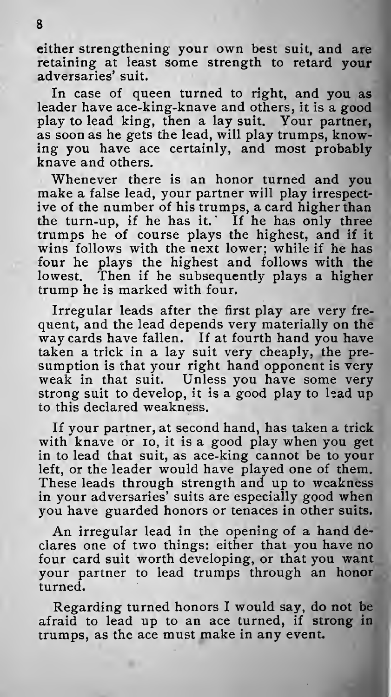either strengthening your own best suit, and are retaining at least some strength to retard your adversaries' suit.

In case of queen turned to right, and you as leader have ace-king-knave and others, it is a good play to lead king, then a lay suit. Your partner, as soon as he gets the lead, will play trumps, knowing you have ace certainly, and most probably knave and others.

Whenever there is an honor turned and you make <sup>a</sup>false lead, your partner will play irrespect ive of the number of his trumps, a card higher than the turn-up, if he has it. ' If he has only three trumps he of course plays the highest, and if it wins follows with the next lower; while if he has four he plays the highest and follows with the lowest. Then if he subsequently plays a higher trump he is marked with four.

Irregular leads after the first play are very frequent, and the lead depends very materially on the way cards have fallen. If at fourth hand you have taken a trick in a lay suit very cheaply, the pre sumption is that your right hand opponent is very weak in that suit. Unless you have some very strong suit to develop, it is a good play to lead up to this declared weakness.

If your partner, at second hand, has taken a trick with knave or 10, it is a good play when you get in to lead that suit, as ace-king cannot be to your left, or the leader would have played one of them. These leads through strength and up to weakness in your adversaries' suits are especially good when you have guarded honors or tenaces in other suits.

An irregular lead in the opening of a hand declares one of two things: either that you have no four card suit worth developing, or that you want your partner to lead trumps through an honor turned.

Regarding turned honors <sup>I</sup> would say, do not be afraid to lead up to an ace turned, if strong in trumps, as the ace must make in any event.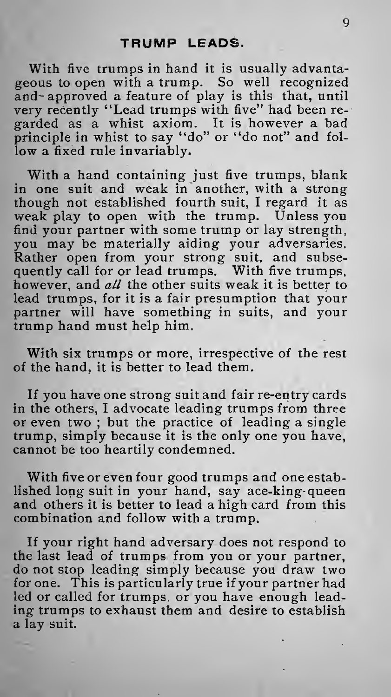With five trumps in hand it is usually advanta geous to open with a trump. So well recognized and- approved a feature of play is this that, until very recently "Lead trumps with five" had been re garded as a whist axiom. It is however a bad principle in whist to say "do" or "do not" and fol low a fixed rule invariably.

With a hand containing just five trumps, blank in one suit and weak in another, with a strong though not established fourth suit, <sup>I</sup> regard it as weak play to open with the trump. Unless you find your partner with some trump or lay strength, you may be materially aiding your adversaries.<br>Rather open from your strong suit, and subse-<br>quently call for or lead trumps. With five trumps,<br>however, and *all* the other suits weak it is better to lead trumps, for it is a fair presumption that your partner will have something in suits, and your trump hand must help him.

With six trumps or more, irrespective of the rest of the hand, it is better to lead them.

If you have one strong suit and fair re-entry cards in the others, <sup>I</sup> advocate leading trumps from three or even two ; but the practice of leading a single trump, simply because it is the only one you have, cannot be too heartily condemned.

With five or even four good trumps and one established long suit in your hand, say ace-king-queen and others it is better to lead a high card from this combination and follow with a trump.

If your right hand adversary does not respond to the last lead of trumps from you or your partner, do not stop leading simply because you draw two<br>for one. This is particularly true if your partner had led or called for trumps, or you have enough lead ing trumps to exhaust them and desire to establish a lay suit.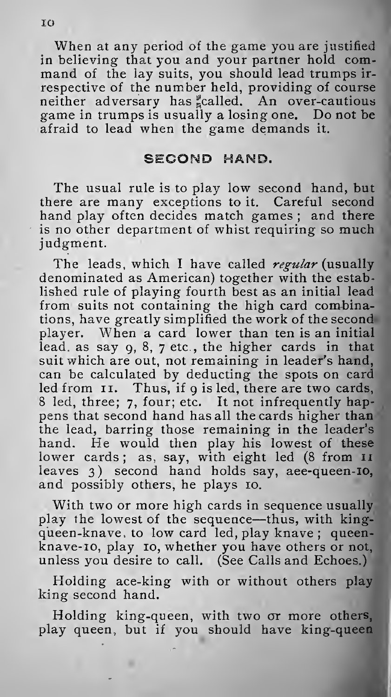When at any period of the game you are justified<br>in believing that you and your partner hold command of the lay suits, you should lead trumps irrespective of the number held, providing of course neither adversary has called. An over-cautious game in trumps is usually a losing one. Do not be afraid to lead when the game demands it.

#### SECOND HAND.

The usual rule is to play low second hand, but there are many exceptions to it. Careful second hand play often decides match games; and there is no other department of whist requiring so much judgment.

The leads, which I have called regular (usually denominated as American) together with the estab lished rule of playing fourth best as an initial lead from suits not containing the high card combinations, have greatly simplified the work of the second player. When a card lower than ten is an initial lead, as say 9,8, 7 etc , the higher cards in that suit which are out, not remaining in leader's hand, can be calculated by deducting the spots on card led from 11. Thus, if 9 is led, there are two cards, 8 led, three; 7, four; etc. It not infrequently hap pens that second hand has all the cards higher than the lead, barring those remaining in the leader's hand. He would then play his lowest of these lower cards; as, say, with eight led (8 from 11 leaves 3) second hand holds say, aee-queen-io, and possibly others, he plays 10.

With two or more high cards in sequence usually play the lowest of the sequence—thus, with king- q'ueen-knave, to low card led, play knave ; queenknave-io, play 10, whether you have others or not, unless you desire to call. (See Calls and Echoes.)

Holding ace-king with or without others play king second hand.

Holding king-queen, with two or more others,<br>play queen, but if you should have king-queen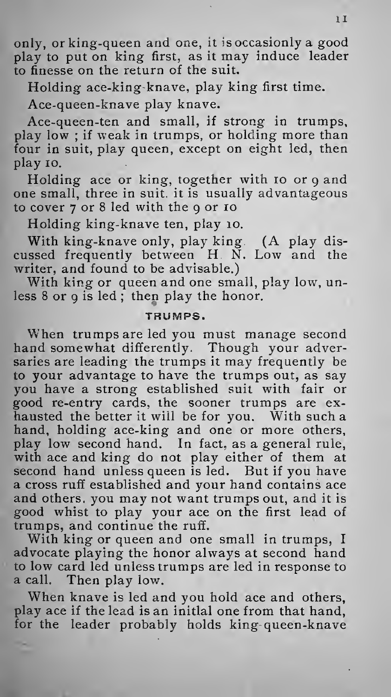only, or king-queen and one, it is occasionly a good play to put on king first, as it may induce leader to finesse on the return of the suit.

Holding ace-king-knave, play king first time.

Ace-queen-knave play knave.

Ace-queen-ten and small, if strong in trumps, play low ; if weak in trumps, or holding more than four in suit, play queen, except on eight led, then play ID.

Holding ace or king, together with 10 or 9 and one small, three in suit, it is usually advantageous to cover  $7$  or  $8$  led with the  $9$  or 10

Holding king-knave ten, play 10.

With king-knave only, play king (A play dis-<br>cussed frequently between H N. Low and the writer, and found to be advisable.)

With king or queen and one small, play low, unless  $8$  or  $q$  is led; then play the honor.

#### TRUMPS.

When trumps are led you must manage second hand somewhat differently. Though your adversaries are leading the trumps it may frequently be to your advantage to have the trumps out, as say you have a strong established suit with fair or good re-entry cards, the sooner trumps are ex hausted the better it will be for you. With such a hand, holding ace-king and one or more others, play low second hand. In fact, as a general rule, with ace and king do not play either of them at second hand unless queen is led. But if you have a cross ruff established and your hand contains ace and others, you may not want trumps out, and it is good whist to play your ace on the first lead of trumps, and continue the ruff.

With king or queen and one small in trumps, I advocate playing the honor always at second hand to low card led unless trumps are led in response to a call. Then play low.

When knave is led and you hold ace and others, play ace if the lead is an initial one from that hand, for the leader probably holds king-queen-knave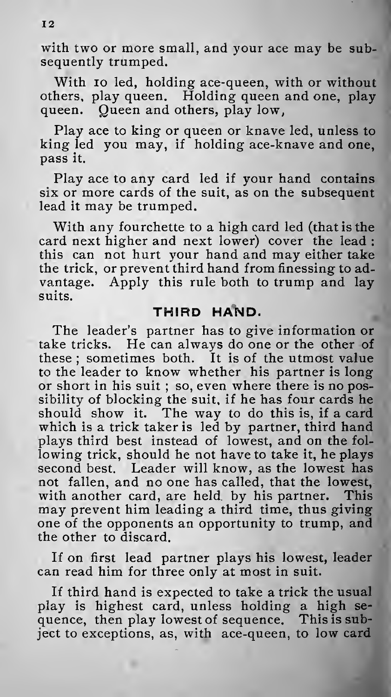with two or more small, and your ace may be sub sequently trumped.

With 10 led, holding ace-queen, with or without others, play queen. Holding queen and one, play queen. Queen and others, play low,

Play ace to king or queen or knave led, unless to king led you may, if holding ace-knave and one, pass it.

Play ace to any card led if your hand contains six or more cards of the suit, as on the subsequent lead it may be trumped.

With any fourchette to a high card led (that is the card next higher and next lower) cover the lead : this can not hurt your hand and may either take the trick, or prevent third hand from finessing to ad vantage. Apply this rule both to trump and lay suits.

#### THIRD HAND.

The leader's partner has to give information or take tricks. He can always do one or the other of these ; sometimes both. It is of the utmost value to the leader to know whether his partner islong or short in his suit ; so, even where there is no possibility of blocking the suit, if he has four cards he should show it. The way to do this is, if a card which is a trick taker is led by partner, third hand plays third best instead of lowest, and on the fol lowing trick, should he not have to take it, he plays second best. Leader will know, as the lowest has not fallen, and no one has called, that the lowest, with another card, are held by his partner. This may prevent him leading a third time, thus giving one of the opponents an opportunity to trump, and the other to discard.

If on first lead partner plays his lowest, leader can read him for three only at most in suit.

If third hand is expected to take a trick the usual play is highest card, unless holding a high se quence, then play lowest of sequence. This is subject to exceptions, as, with ace-queen, to low card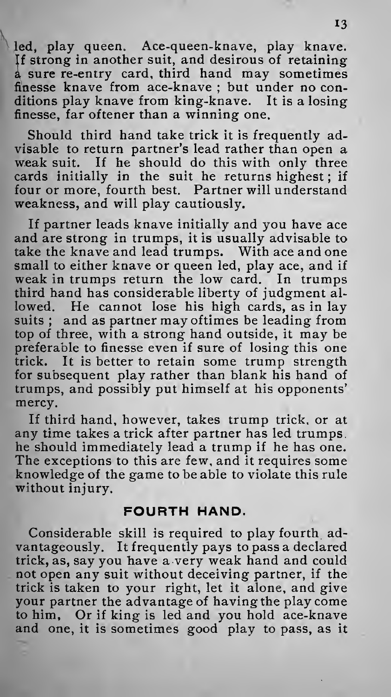led, play queen. Ace-queen-knave, play knave. If strong in another suit, and desirous of retaining <sup>a</sup> sure re-entry card, third hand may sometimes finesse knave from ace-knave ; but under no conditions play knave from king-knave. It is a losing finesse, far oftener than a winning one.

Should third hand take trick it is frequently advisable to return partner's lead rather than open a weak suit. If he should do this with only three cards initially in the suit he returns highest ; if four or more, fourth best. Partner will understand weakness, and will play cautiously.

If partner leads knave initially and you have ace and are strong in trumps, it is usually advisable to take the knave and lead trumps. With ace and one small to either knave or queen led, play ace, and if weak in trumps return the low card. In trumps third hand has considerable liberty of judgment al lowed. He cannot lose his high cards, as in lay suits ; and as partner may oftimes be leading from top of three, with a strong hand outside, it may be preferable to finesse even if sure of losing this one trick. It is better to retain some trump strength for subsequent play rather than blank his hand of trumps, and possibly put himself at his opponents' mercy.

If third hand, however, takes trump trick, or at any time takes a trick after partner has led trumps. he should immediately lead a trump if he has one. The exceptions to this are few, and it requires some knowledge of the game to be able to violate this rule without injury.

#### FOURTH HAND.

Considerable skill is required to play fourth ad vantageously. It frequently pays to pass a declared trick, as, say you have a very weak hand and could not open any suit without deceiving partner, if the trick is taken to your right, let it alone, and give your partner the advantage of having the play come to him, Or if king is led and you hold ace-knave and one, it is sometimes good play to pass, as it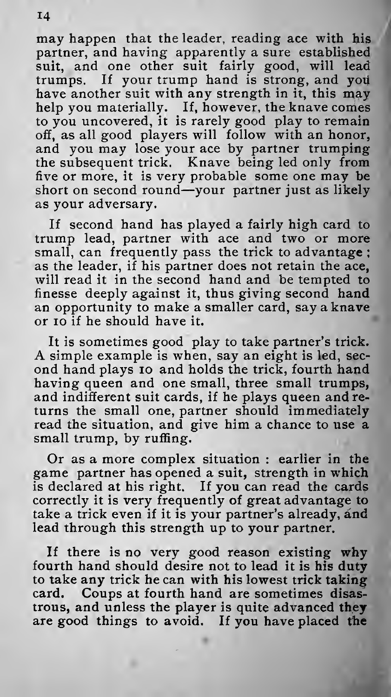may happen that the leader, reading ace with his partner, and having apparently a sure established suit, and one other suit fairly good, will lead trumps. If your trump hand is strong, and you have another suit with any strength in it, this may help you materially. If, however, the knave comes to you uncovered, it is rarely good play to remain off, as all good players will follow with an honor, and you may lose your ace by partner trumping the subsequent trick. Knave being led only from five or more, it is very probable some one may be short on second round—your partner just as likely as your adversary.

If second hand has played a fairly high card to trump lead, partner with ace and two or more small, can frequently pass the trick to advantage; as the leader, if his partner does not retain the ace, will read it in the second hand and be tempted to finesse deeply against it, thus giving second hand an opportunity to make a smaller card, say a knave or 10 if he should have it.

It is sometimes good play to take partner's trick. <sup>A</sup> simple example is when, say an eight is led, sec- ond hand plays lo and holds the trick, fourth hand having queen and one small, three small trumps, and indifferent suit cards, if he plays queen and re turns the small one, partner should immediately read the situation, and give him a chance to use a small trump, by ruffing.

Or as <sup>a</sup> more complex situation : earlier in the game partner has opened <sup>a</sup> suit, strength in which is declared at his right. If you can read the cards correctly it is very frequently of great advantage to take a trick even if it is your partner's already, and lead through this strength up to your partner.

If there is no very good reason existing why fourth hand should desire not to lead it is his duty to take any trick he can with his lowest trick taking card. Coups at fourth hand are sometimes disastrous, and unless the player is quite advanced they are good things to avoid. If you have placed the

14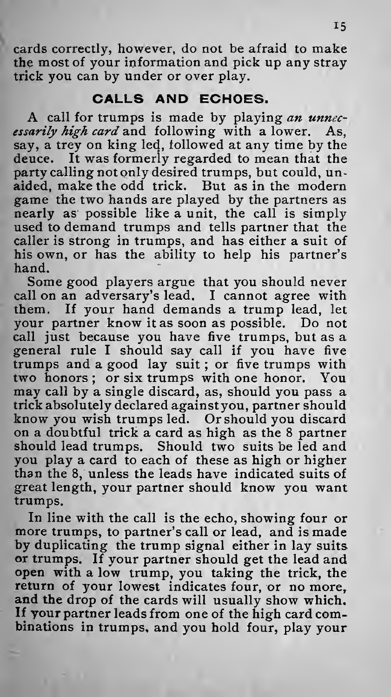cards correctly, however, do not be afraid to make the most of your information and pick up any stray trick you can by under or over play.

#### CALLS AND ECHOES.

A call for trumps is made by playing an unnecessarily high card and following with a lower. As, say, a trey on king led, followed at any time by the deuce. It was formerly regarded to mean that the party calling not only desired trumps, but could, unaided, make the odd trick. But as in the modern game the two hands are played by the partners as nearly as possible like a unit, the call is simply used to demand trumps and tells partner that the caller is strong in trumps, and has either a suit of his own, or has the ability to help his partner's hand.

Some good players argue that you should never call on an adversary's lead. <sup>I</sup> cannot agree with them. If your hand demands a trump lead, let your partner know it as soon as possible. Do not call just because you have five trumps, but as a general rule <sup>I</sup> should say call if you have five trumps and a good lay suit ; or five trumps with may call by a single discard, as, should you pass a trick absolutely declared againstyou, partner should know you wish trumps led. Or should you discard on a doubtful trick a card as high as the 8 partner should lead trumps. Should two suits be led and you play a card to each of these as high or higher than the 8, unless the leads have indicated suits of great length, your partner should know you want trumps.

In line with the call is the echo, showing four or more trumps, to partner's call or lead, and is made by duplicating the trump signal either in lay suits or trumps. If your partner should get the lead and open with a low trump, you taking the trick, the return of your lowest indicates four, or no more, and the drop of the cards will usually show which. If your partner leads from one of the high card combinations in trumps, and you hold four, play your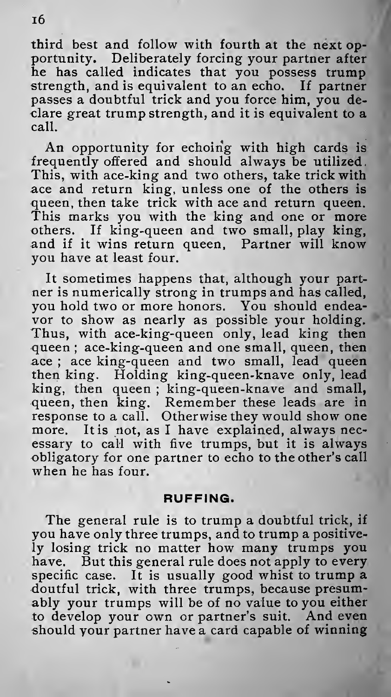third best and follow with fourth at the next opportunity. Deliberately forcing your partner after he has called indicates that you possess trump strength, and is equivalent to an echo. If partner passes a doubtful trick and you force him, you declare great trump strength, and it is equivalent to a call.

An opportunity for echoing with high cards is frequently offered and should always be utilized, This, with ace-king and two others, take trick with ace and return king, unless one of the others is queen, then take trick with ace and return queen. This marks you with the king and one or more others. If king-queen and two small, play king, and if it wins return queen. Partner will know you have at least four.

It sometimes happens that, although your part ner isnumerically strong in trumps and has called, you hold two or more honors. You should endeavor to show as nearly as possible your holding. Thus, with ace-king-queen only, lead king then queen ; ace-king-queen and one small, queen, then ace ; ace king-queen and two small, lead queen then king. Holding king-queen-knave only, lead<br>king, then queen ; king-queen-knave and small, queen, then king. Remember these leads are in response to a call. Otherwise they would show one more. It is not, as I have explained, always necessary to call with five trumps, but it is always obligatory for one partner to echo to the other's call when he has four.

#### RUFFING.

The general rule is to trump a doubtful trick, if you have only three trumps, and to trump a positively losing trick no matter how many trumps you have. But this general rule does not apply to every specific case. It is usually good whist to trump a doutful trick, with three trumps, because presumably your trumps will be of no value to you either to develop your own or partner's suit. And even should your partner have a card capable of winning

i6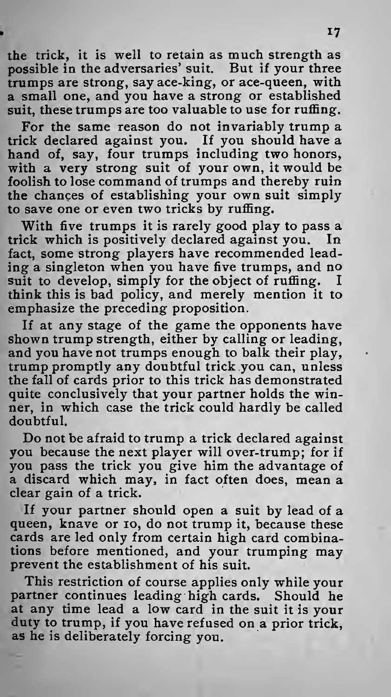the trick, it is well to retain as much strength as possible in the adversaries' suit. But if your three trumps are strong, say ace-king, or ace-queen, with a small one, and you have a strong or established suit, these trumps are too valuable to use for ruffing.

For the same reason do not invariably trump a trick declared against you. If you should have a hand of, say, four trumps including two honors, with a very strong suit of your own, it would be foolish to lose command of trumps and thereby ruin the chances of establishing your own suit simply to save one or even two tricks by ruffing.

With five trumps it is rarely good play to pass a trick which is positively declared against you. In fact, some strong players have recommended lead ing a singleton when you have five trumps, and no suit to develop, simply for the object of ruffing. think this is bad policy, and merely mention it to emphasize the preceding proposition.

If at any stage of the game the opponents have shown trump strength, either by calling or leading, and you have not trumps enough to balk their play. trump promptly any doubtful trick you can, unless the fall of cards prior to this trick has demonstrated quite conclusively that your partner holds the winner, in which case the trick could hardly be called doubtful.

Do not be afraid to trump a trick declared against you because the next player will over-trump; for if you pass the trick you give him the advantage of a discard which may, in fact often does, mean a clear gain of a trick.

If your partner should open a suit by lead of a queen, knave or 10, do not trump it, because these cards are led only from certain high card combinations before mentioned, and your trumping may prevent the establishment of his suit.

This restriction of course applies only while your partner continues leading high cards. Should he at any time lead a low card in the suit it is your duty to trump, if you have refused on a prior trick, as he is deliberately forcing you.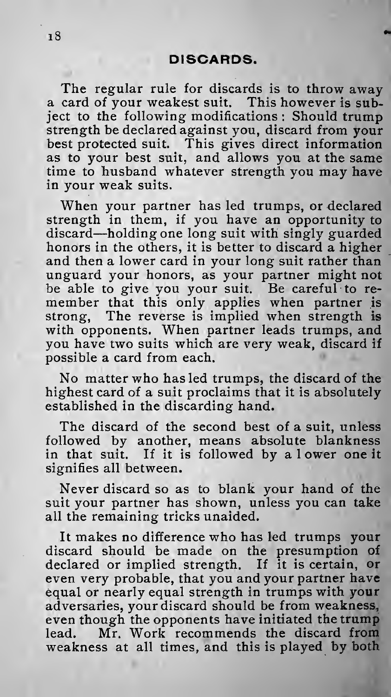#### DISCARDS.

The regular rule for discards is to throw away a card of your weakest suit. This however is subject to the following modifications : Should trump strength be declared against you, discard from your best protected suit. This gives direct information as to your best suit, and allows you at the same time to husband whatever strength you may have in your weak suits.

When your partner has led trumps, or declared strength in them, if you have an opportunity to discard—holding one long suit with singly guarded honors in the others, it is better to discard a higher and then a lower card in your long suit rather than unguard your honors, as your partner might not<br>be able to give you your suit. Be careful to remember that this only applies when partner is strong, The reverse is implied when strength is with opponents. When partner leads trumps, and you have two suits which are very weak, discard ifpossible a card from each.

No matter who has led trumps, the discard of the highest card of a suit proclaims that it is absolutely established in the discarding hand.

The discard of the second best of a suit, unless followed by another, means absolute blankness in that suit. If it is followed by a lower one it signifies all between.

Never discard so as to blank your hand of the suit your partner has shown, unless you can take all the remaining tricks unaided.

It makes no difference who has led trumps your discard should be made on the presumption of declared or implied strength. If it is certain, or even very probable, that you and your partner have equal or nearly equal strength in trumps with your adversaries, your discard should be from weakness, even though the opponents have initiated the trump lead. Mr. Work recommends the discard from weakness at all times, and this is played by both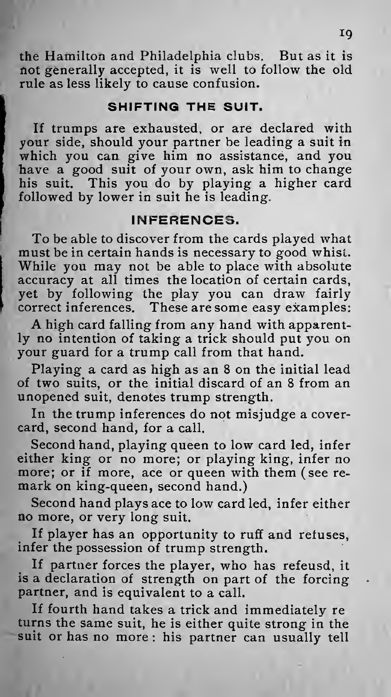the Hamilton and Philadelphia clubs. But as it is not generally accepted, it is well to follow the old rule as less likely to cause confusion.

#### SHIFTING THE SUIT.

If trumps are exhausted, or are declared with your side, should your partner be leading a suit in which you can give him no assistance, and you have a good suit of your own, ask him to change<br>his suit. This you do by playing a higher card This you do by playing a higher card followed by lower in suit he is leading.

#### INFERENCES.

To be able to discover from the cards played what must be in certain hands is necessary to good whisl. While you may not be able to place with absolute accuracy at all times the location of certain cards, yet by following the play you can draw fairly correct inferences. These are some easy examples:

A high card falling from any hand with apparently no intention of taking a trick should put you on your guard for a trump call from that hand.

Playing a card as high as an 8 on the initial lead of two suits, or the initial discard of an 8 from an unopened suit, denotes trump strength.

In the trump inferences do not misjudge a covercard, second hand, for a call.

Second hand, playing queen to low card led, infer either king or no more; or playing king, infer no more; or if more, ace or queen with them (see re-<br>mark on king-queen, second hand.)

Second hand plays ace to low card led, infer either no more, or very long suit.

If player has an opportunity to ruff and refuses, infer the possession of trump strength.

If partner forces the player, who has refeusd, itis a declaration of strength on part of the forcing partner, and is equivalent to a call.

If fourth hand takes a trick and immediately re turns the same suit, he is either quite strong in the suit or has no more : his partner can usually tell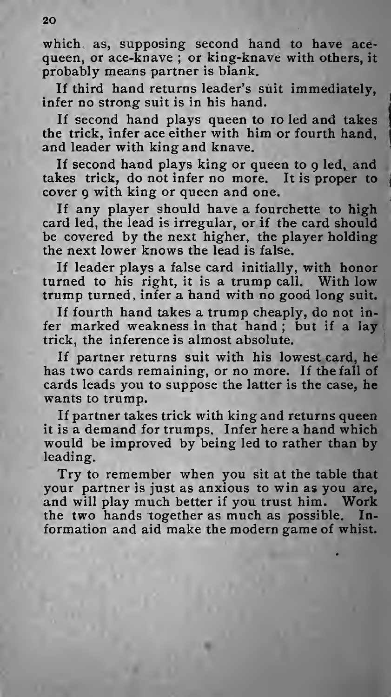which, as, supposing second hand to have ace queen, or ace-knave ; or king-knave with others, it probably means partner isblank.

If third hand returns leader's suit immediately, infer no strong suit is in his hand.

If second hand plays queen to 10 led and takes the trick, infer ace either with him or fourth hand, and leader with king and knave.

If second hand plays king or queen to 9 led, and takes trick, do not infer no more. It is proper to cover 9 with king or queen and one.

If any player should have a fourchette to high card led, the lead is irregular, or if the card should be covered by the next higher, the player holding the next lower knows the lead is false.

If leader plays a false card initially, with honor turned to his right, it is a trump call. With low trump turned, infer a hand with no good long suit.

If fourth hand takes a trump cheaply, do not in fer marked weakness in that hand; but if a lay trick, the inference is almost absolute.

If partner returns suit with his lowest card, he has two cards remaining, or no more. If the fall of cards leads you to suppose the latter is the case, he wants to trump.

If partner takes trick with king and returns queen it is a demand for trumps. Infer here a hand which would be improved by being led to rather than by leading.

Try to remember when you sit at the table that your partner is just as anxious to win as you are. and will play much better if you trust him. Work<br>the two hands together as much as possible. Inthe two hands together as much as possible. formation and aid make the modern game of whist.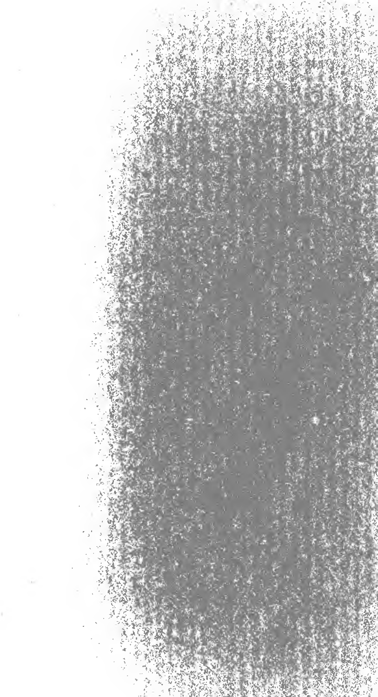